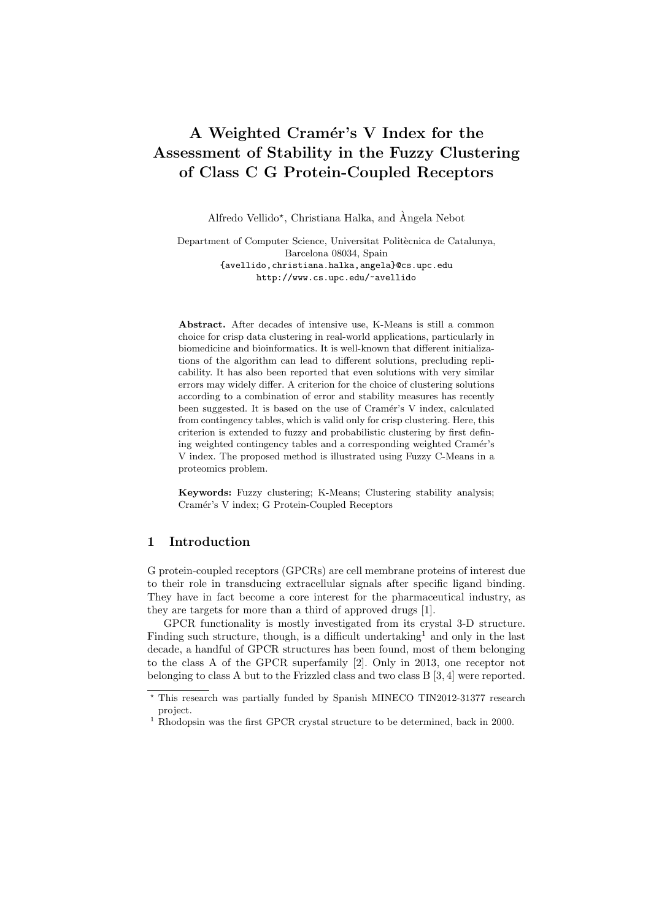# **A Weighted Cram´er's V Index for the Assessment of Stability in the Fuzzy Clustering of Class C G Protein-Coupled Receptors**

Alfredo Vellido<sup>\*</sup>, Christiana Halka, and Àngela Nebot

Department of Computer Science, Universitat Politècnica de Catalunya, Barcelona 08034, Spain {avellido,christiana.halka,angela}@cs.upc.edu http://www.cs.upc.edu/~avellido

**Abstract.** After decades of intensive use, K-Means is still a common choice for crisp data clustering in real-world applications, particularly in biomedicine and bioinformatics. It is well-known that different initializations of the algorithm can lead to different solutions, precluding replicability. It has also been reported that even solutions with very similar errors may widely differ. A criterion for the choice of clustering solutions according to a combination of error and stability measures has recently been suggested. It is based on the use of Cramér's V index, calculated from contingency tables, which is valid only for crisp clustering. Here, this criterion is extended to fuzzy and probabilistic clustering by first defining weighted contingency tables and a corresponding weighted Cramér's V index. The proposed method is illustrated using Fuzzy C-Means in a proteomics problem.

**Keywords:** Fuzzy clustering; K-Means; Clustering stability analysis; Cramér's V index; G Protein-Coupled Receptors

# **1 Introduction**

G protein-coupled receptors (GPCRs) are cell membrane proteins of interest due to their role in transducing extracellular signals after specific ligand binding. They have in fact become a core interest for the pharmaceutical industry, as they are targets for more than a third of approved drugs [1].

GPCR functionality is mostly investigated from its crystal 3-D structure. Finding such structure, though, is a difficult undertaking<sup>1</sup> and only in the last decade, a handful of GPCR structures has been found, most of them belonging to the class A of the GPCR superfamily [2]. Only in 2013, one receptor not belonging to class A but to the Frizzled class and two class B [3, 4] were reported.

*<sup>⋆</sup>* This research was partially funded by Spanish MINECO TIN2012-31377 research project.

<sup>&</sup>lt;sup>1</sup> Rhodopsin was the first GPCR crystal structure to be determined, back in 2000.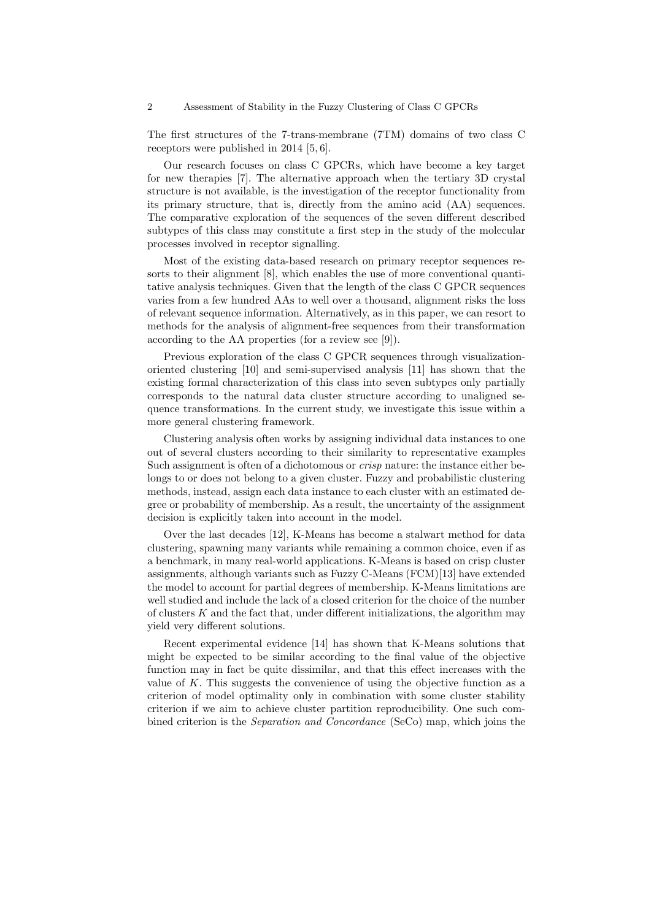The first structures of the 7-trans-membrane (7TM) domains of two class C receptors were published in 2014 [5, 6].

Our research focuses on class C GPCRs, which have become a key target for new therapies [7]. The alternative approach when the tertiary 3D crystal structure is not available, is the investigation of the receptor functionality from its primary structure, that is, directly from the amino acid (AA) sequences. The comparative exploration of the sequences of the seven different described subtypes of this class may constitute a first step in the study of the molecular processes involved in receptor signalling.

Most of the existing data-based research on primary receptor sequences resorts to their alignment [8], which enables the use of more conventional quantitative analysis techniques. Given that the length of the class C GPCR sequences varies from a few hundred AAs to well over a thousand, alignment risks the loss of relevant sequence information. Alternatively, as in this paper, we can resort to methods for the analysis of alignment-free sequences from their transformation according to the AA properties (for a review see [9]).

Previous exploration of the class C GPCR sequences through visualizationoriented clustering [10] and semi-supervised analysis [11] has shown that the existing formal characterization of this class into seven subtypes only partially corresponds to the natural data cluster structure according to unaligned sequence transformations. In the current study, we investigate this issue within a more general clustering framework.

Clustering analysis often works by assigning individual data instances to one out of several clusters according to their similarity to representative examples Such assignment is often of a dichotomous or *crisp* nature: the instance either belongs to or does not belong to a given cluster. Fuzzy and probabilistic clustering methods, instead, assign each data instance to each cluster with an estimated degree or probability of membership. As a result, the uncertainty of the assignment decision is explicitly taken into account in the model.

Over the last decades [12], K-Means has become a stalwart method for data clustering, spawning many variants while remaining a common choice, even if as a benchmark, in many real-world applications. K-Means is based on crisp cluster assignments, although variants such as Fuzzy C-Means (FCM)[13] have extended the model to account for partial degrees of membership. K-Means limitations are well studied and include the lack of a closed criterion for the choice of the number of clusters *K* and the fact that, under different initializations, the algorithm may yield very different solutions.

Recent experimental evidence [14] has shown that K-Means solutions that might be expected to be similar according to the final value of the objective function may in fact be quite dissimilar, and that this effect increases with the value of *K*. This suggests the convenience of using the objective function as a criterion of model optimality only in combination with some cluster stability criterion if we aim to achieve cluster partition reproducibility. One such combined criterion is the *Separation and Concordance* (SeCo) map, which joins the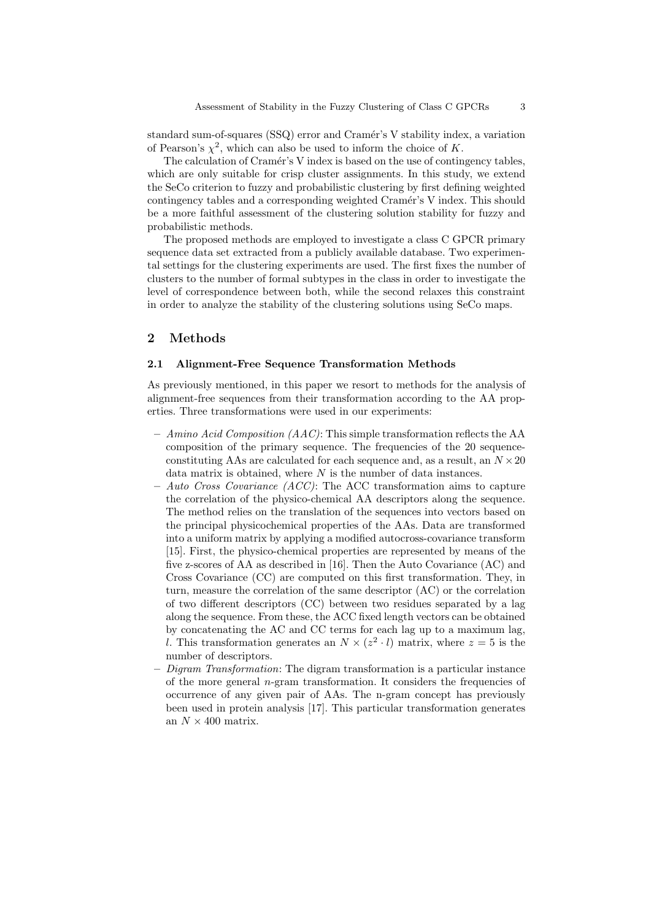standard sum-of-squares (SSQ) error and Cram´er's V stability index, a variation of Pearson's  $\chi^2$ , which can also be used to inform the choice of *K*.

The calculation of Cramér's V index is based on the use of contingency tables, which are only suitable for crisp cluster assignments. In this study, we extend the SeCo criterion to fuzzy and probabilistic clustering by first defining weighted contingency tables and a corresponding weighted Cramér's V index. This should be a more faithful assessment of the clustering solution stability for fuzzy and probabilistic methods.

The proposed methods are employed to investigate a class C GPCR primary sequence data set extracted from a publicly available database. Two experimental settings for the clustering experiments are used. The first fixes the number of clusters to the number of formal subtypes in the class in order to investigate the level of correspondence between both, while the second relaxes this constraint in order to analyze the stability of the clustering solutions using SeCo maps.

# **2 Methods**

## **2.1 Alignment-Free Sequence Transformation Methods**

As previously mentioned, in this paper we resort to methods for the analysis of alignment-free sequences from their transformation according to the AA properties. Three transformations were used in our experiments:

- **–** *Amino Acid Composition (AAC)*: This simple transformation reflects the AA composition of the primary sequence. The frequencies of the 20 sequenceconstituting AAs are calculated for each sequence and, as a result, an  $N \times 20$ data matrix is obtained, where *N* is the number of data instances.
- **–** *Auto Cross Covariance (ACC)*: The ACC transformation aims to capture the correlation of the physico-chemical AA descriptors along the sequence. The method relies on the translation of the sequences into vectors based on the principal physicochemical properties of the AAs. Data are transformed into a uniform matrix by applying a modified autocross-covariance transform [15]. First, the physico-chemical properties are represented by means of the five z-scores of AA as described in [16]. Then the Auto Covariance (AC) and Cross Covariance (CC) are computed on this first transformation. They, in turn, measure the correlation of the same descriptor (AC) or the correlation of two different descriptors (CC) between two residues separated by a lag along the sequence. From these, the ACC fixed length vectors can be obtained by concatenating the AC and CC terms for each lag up to a maximum lag, *l*. This transformation generates an  $N \times (z^2 \cdot l)$  matrix, where  $z = 5$  is the number of descriptors.
- **–** *Digram Transformation*: The digram transformation is a particular instance of the more general *n*-gram transformation. It considers the frequencies of occurrence of any given pair of AAs. The n-gram concept has previously been used in protein analysis [17]. This particular transformation generates an  $N \times 400$  matrix.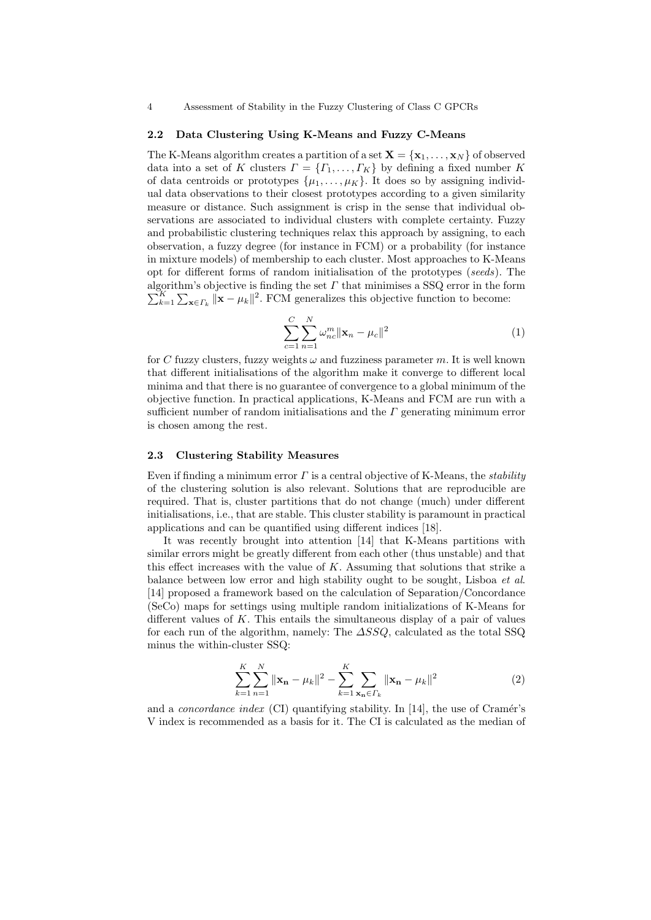4 Assessment of Stability in the Fuzzy Clustering of Class C GPCRs

#### **2.2 Data Clustering Using K-Means and Fuzzy C-Means**

The K-Means algorithm creates a partition of a set  $\mathbf{X} = {\mathbf{x}_1, \dots, \mathbf{x}_N}$  of observed data into a set of *K* clusters  $\Gamma = \{ \Gamma_1, \ldots, \Gamma_K \}$  by defining a fixed number *K* of data centroids or prototypes  $\{\mu_1, \ldots, \mu_K\}$ . It does so by assigning individual data observations to their closest prototypes according to a given similarity measure or distance. Such assignment is crisp in the sense that individual observations are associated to individual clusters with complete certainty. Fuzzy and probabilistic clustering techniques relax this approach by assigning, to each observation, a fuzzy degree (for instance in FCM) or a probability (for instance in mixture models) of membership to each cluster. Most approaches to K-Means opt for different forms of random initialisation of the prototypes (*seeds*). The  $\sum_{l}^{K}$ algorithm's objective is finding the set *Γ* that minimises a SSQ error in the form  $\sum_{k=1}^{K} \sum_{\mathbf{x} \in \Gamma_k} ||\mathbf{x} - \mu_k||^2$ . FCM generalizes this objective function to become:

$$
\sum_{c=1}^{C} \sum_{n=1}^{N} \omega_{nc}^{m} ||\mathbf{x}_{n} - \mu_{c}||^{2}
$$
 (1)

for *C* fuzzy clusters, fuzzy weights  $\omega$  and fuzziness parameter *m*. It is well known that different initialisations of the algorithm make it converge to different local minima and that there is no guarantee of convergence to a global minimum of the objective function. In practical applications, K-Means and FCM are run with a sufficient number of random initialisations and the *Γ* generating minimum error is chosen among the rest.

### **2.3 Clustering Stability Measures**

Even if finding a minimum error *Γ* is a central objective of K-Means, the *stability* of the clustering solution is also relevant. Solutions that are reproducible are required. That is, cluster partitions that do not change (much) under different initialisations, i.e., that are stable. This cluster stability is paramount in practical applications and can be quantified using different indices [18].

It was recently brought into attention [14] that K-Means partitions with similar errors might be greatly different from each other (thus unstable) and that this effect increases with the value of *K*. Assuming that solutions that strike a balance between low error and high stability ought to be sought, Lisboa *et al*. [14] proposed a framework based on the calculation of Separation/Concordance (SeCo) maps for settings using multiple random initializations of K-Means for different values of *K*. This entails the simultaneous display of a pair of values for each run of the algorithm, namely: The *∆SSQ*, calculated as the total SSQ minus the within-cluster SSQ:

$$
\sum_{k=1}^{K} \sum_{n=1}^{N} ||\mathbf{x_n} - \mu_k||^2 - \sum_{k=1}^{K} \sum_{\mathbf{x_n} \in \Gamma_k} ||\mathbf{x_n} - \mu_k||^2
$$
 (2)

and a *concordance index* (CI) quantifying stability. In [14], the use of Cramér's V index is recommended as a basis for it. The CI is calculated as the median of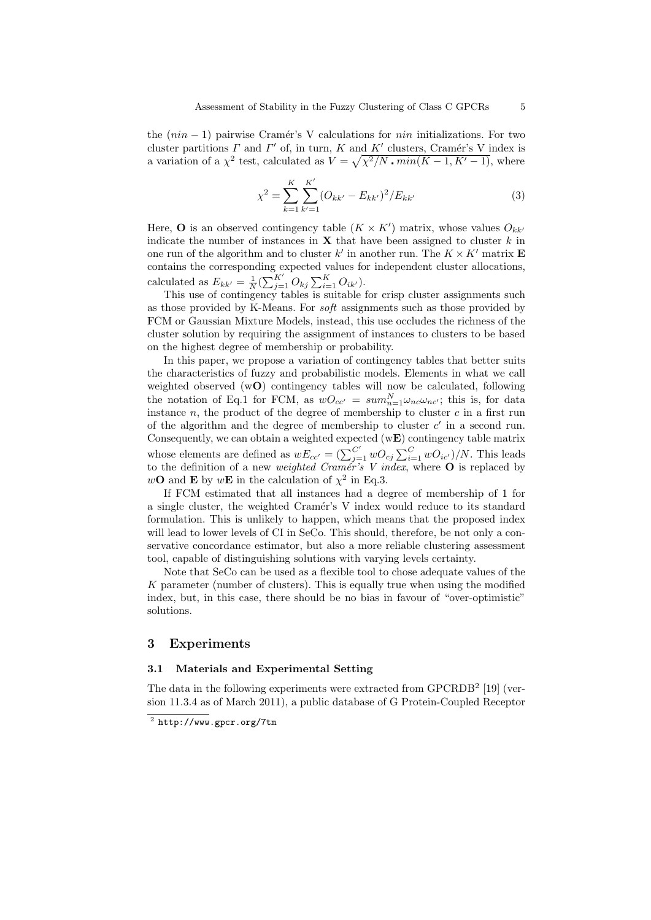the (*nin −* 1) pairwise Cram´er's V calculations for *nin* initializations. For two cluster partitions *Γ* and *Γ ′* of, in turn, *K* and *K′* clusters, Cram´er's V index is a variation of a  $\chi^2$  test, calculated as  $V = \sqrt{\chi^2/N \cdot min(K-1, K'-1)}$ , where

$$
\chi^2 = \sum_{k=1}^{K} \sum_{k'=1}^{K'} (O_{kk'} - E_{kk'})^2 / E_{kk'}
$$
 (3)

Here, **O** is an observed contingency table  $(K \times K')$  matrix, whose values  $O_{kk'}$ indicate the number of instances in  $\bf{X}$  that have been assigned to cluster  $k$  in one run of the algorithm and to cluster  $k'$  in another run. The  $K \times K'$  matrix **E** contains the corresponding expected values for independent cluster allocations, calculated as  $E_{kk'} = \frac{1}{N} (\sum_{j=1}^{K'} O_{kj} \sum_{i=1}^{K} O_{ik'}).$ 

This use of contingency tables is suitable for crisp cluster assignments such as those provided by K-Means. For *soft* assignments such as those provided by FCM or Gaussian Mixture Models, instead, this use occludes the richness of the cluster solution by requiring the assignment of instances to clusters to be based on the highest degree of membership or probability.

In this paper, we propose a variation of contingency tables that better suits the characteristics of fuzzy and probabilistic models. Elements in what we call weighted observed (w**O**) contingency tables will now be calculated, following the notation of Eq.1 for FCM, as  $wO_{cc'} = sum_{n=1}^N \omega_{nc} \omega_{nc'}$ ; this is, for data instance  $n$ , the product of the degree of membership to cluster  $c$  in a first run of the algorithm and the degree of membership to cluster  $c'$  in a second run. Consequently, we can obtain a weighted expected (w**E**) contingency table matrix whose elements are defined as  $wE_{cc'} = (\sum_{j=1}^{C'} wO_{cj} \sum_{i=1}^{C} wO_{ic'})/N$ . This leads to the definition of a new *weighted Cram´er's V index*, where **O** is replaced by  $w$ **O** and **E** by  $w$ **E** in the calculation of  $\chi^2$  in Eq.3.

If FCM estimated that all instances had a degree of membership of 1 for a single cluster, the weighted Cramér's V index would reduce to its standard formulation. This is unlikely to happen, which means that the proposed index will lead to lower levels of CI in SeCo. This should, therefore, be not only a conservative concordance estimator, but also a more reliable clustering assessment tool, capable of distinguishing solutions with varying levels certainty.

Note that SeCo can be used as a flexible tool to chose adequate values of the *K* parameter (number of clusters). This is equally true when using the modified index, but, in this case, there should be no bias in favour of "over-optimistic" solutions.

## **3 Experiments**

## **3.1 Materials and Experimental Setting**

The data in the following experiments were extracted from GPCRDB<sup>2</sup> [19] (version 11.3.4 as of March 2011), a public database of G Protein-Coupled Receptor

 $^{2}$  http://www.gpcr.org/7tm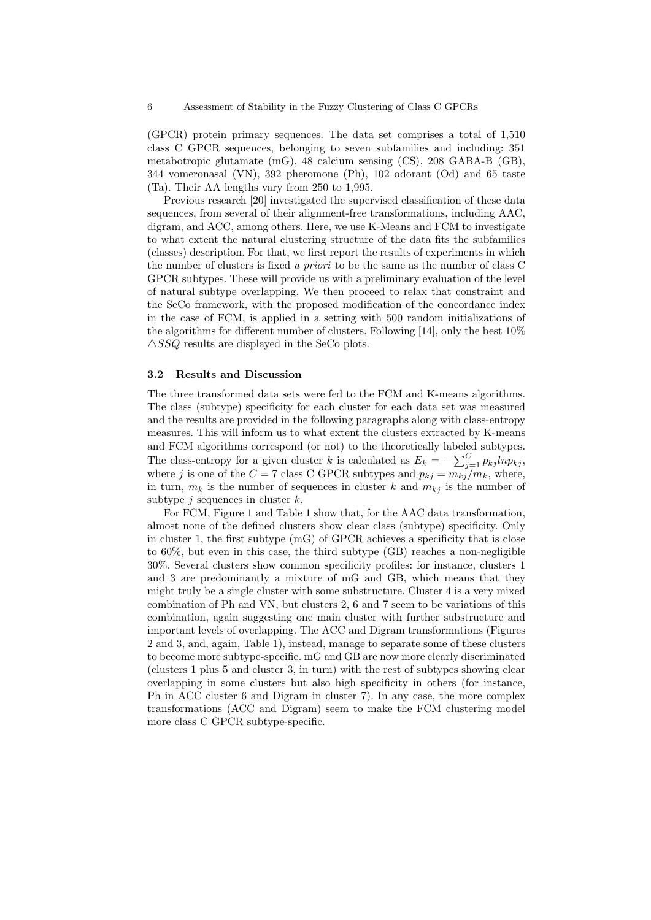(GPCR) protein primary sequences. The data set comprises a total of 1,510 class C GPCR sequences, belonging to seven subfamilies and including: 351 metabotropic glutamate (mG), 48 calcium sensing (CS), 208 GABA-B (GB), 344 vomeronasal (VN), 392 pheromone (Ph), 102 odorant (Od) and 65 taste (Ta). Their AA lengths vary from 250 to 1,995.

Previous research [20] investigated the supervised classification of these data sequences, from several of their alignment-free transformations, including AAC, digram, and ACC, among others. Here, we use K-Means and FCM to investigate to what extent the natural clustering structure of the data fits the subfamilies (classes) description. For that, we first report the results of experiments in which the number of clusters is fixed *a priori* to be the same as the number of class C GPCR subtypes. These will provide us with a preliminary evaluation of the level of natural subtype overlapping. We then proceed to relax that constraint and the SeCo framework, with the proposed modification of the concordance index in the case of FCM, is applied in a setting with 500 random initializations of the algorithms for different number of clusters. Following [14], only the best  $10\%$ *△SSQ* results are displayed in the SeCo plots.

#### **3.2 Results and Discussion**

The three transformed data sets were fed to the FCM and K-means algorithms. The class (subtype) specificity for each cluster for each data set was measured and the results are provided in the following paragraphs along with class-entropy measures. This will inform us to what extent the clusters extracted by K-means and FCM algorithms correspond (or not) to the theoretically labeled subtypes. The class-entropy for a given cluster *k* is calculated as  $E_k = -\sum_{j=1}^{C} p_{kj} l n p_{kj}$ , where *j* is one of the  $C = 7$  class C GPCR subtypes and  $p_{kj} = m_{kj}/m_k$ , where, in turn,  $m_k$  is the number of sequences in cluster k and  $m_{kj}$  is the number of subtype *j* sequences in cluster *k*.

For FCM, Figure 1 and Table 1 show that, for the AAC data transformation, almost none of the defined clusters show clear class (subtype) specificity. Only in cluster 1, the first subtype (mG) of GPCR achieves a specificity that is close to 60%, but even in this case, the third subtype (GB) reaches a non-negligible 30%. Several clusters show common specificity profiles: for instance, clusters 1 and 3 are predominantly a mixture of mG and GB, which means that they might truly be a single cluster with some substructure. Cluster 4 is a very mixed combination of Ph and VN, but clusters 2, 6 and 7 seem to be variations of this combination, again suggesting one main cluster with further substructure and important levels of overlapping. The ACC and Digram transformations (Figures 2 and 3, and, again, Table 1), instead, manage to separate some of these clusters to become more subtype-specific. mG and GB are now more clearly discriminated (clusters 1 plus 5 and cluster 3, in turn) with the rest of subtypes showing clear overlapping in some clusters but also high specificity in others (for instance, Ph in ACC cluster 6 and Digram in cluster 7). In any case, the more complex transformations (ACC and Digram) seem to make the FCM clustering model more class C GPCR subtype-specific.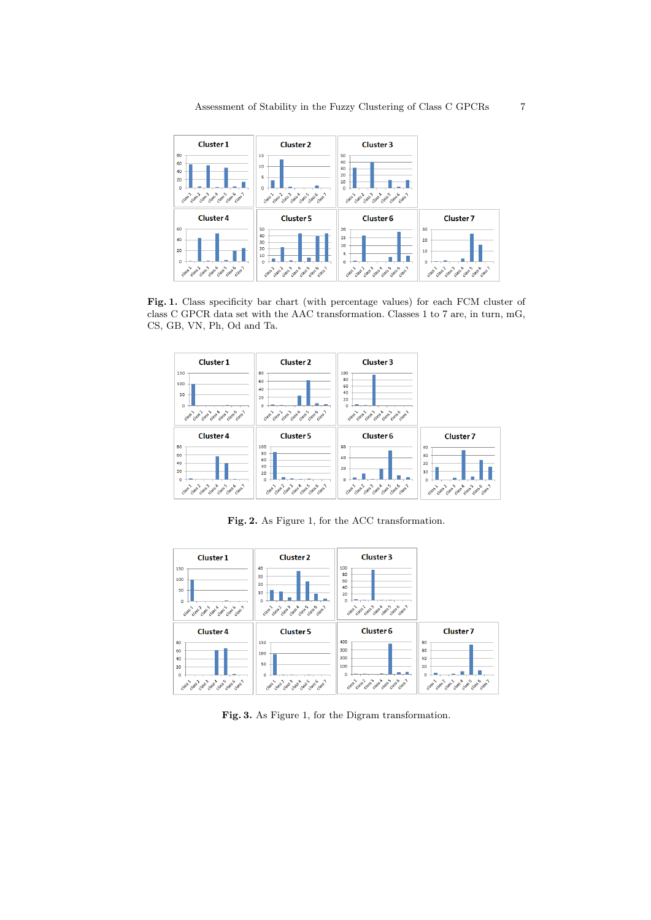

**Fig. 1.** Class specificity bar chart (with percentage values) for each FCM cluster of class C GPCR data set with the AAC transformation. Classes 1 to 7 are, in turn, mG, CS, GB, VN, Ph, Od and Ta.



Fig. 2. As Figure 1, for the ACC transformation.



**Fig. 3.** As Figure 1, for the Digram transformation.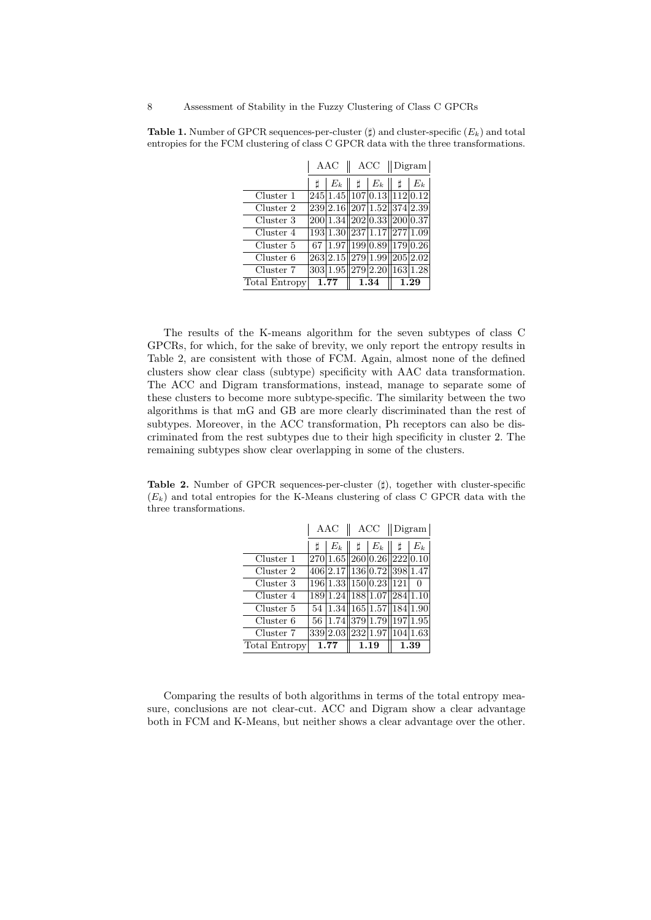|               |      |                                           | $\text{AAC}$   ACC   Digram |       |      |       |
|---------------|------|-------------------------------------------|-----------------------------|-------|------|-------|
|               | ij   | $E_k$                                     | $\sharp$ :                  | $E_k$ | Ħ    | $E_k$ |
| Cluster 1     |      | 245 1.45 107 0.13 112 0.12                |                             |       |      |       |
| Cluster 2     |      | 239 2.16 207 1.52 374 2.39                |                             |       |      |       |
| Cluster 3     |      | 200 1.34 202 0.33 200 0.37                |                             |       |      |       |
| Cluster 4     |      | $193 1.30  237 \overline{1.17  277} 1.09$ |                             |       |      |       |
| Cluster 5     | 67   | 1.97  199 0.89  179 0.26                  |                             |       |      |       |
| Cluster 6     |      | 263 2.15 279 1.99 205 2.02                |                             |       |      |       |
| Cluster 7     |      | 303 1.95  279 2.20  163 1.28              |                             |       |      |       |
| Total Entropy | 1.77 |                                           | 1.34                        |       | 1.29 |       |

**Table 1.** Number of GPCR sequences-per-cluster (*♯*) and cluster-specific (*Ek*) and total entropies for the FCM clustering of class C GPCR data with the three transformations.

The results of the K-means algorithm for the seven subtypes of class C GPCRs, for which, for the sake of brevity, we only report the entropy results in Table 2, are consistent with those of FCM. Again, almost none of the defined clusters show clear class (subtype) specificity with AAC data transformation. The ACC and Digram transformations, instead, manage to separate some of these clusters to become more subtype-specific. The similarity between the two algorithms is that mG and GB are more clearly discriminated than the rest of subtypes. Moreover, in the ACC transformation, Ph receptors can also be discriminated from the rest subtypes due to their high specificity in cluster 2. The remaining subtypes show clear overlapping in some of the clusters.

**Table 2.** Number of GPCR sequences-per-cluster (*♯*), together with cluster-specific  $(E_k)$  and total entropies for the K-Means clustering of class C GPCR data with the three transformations.

|               | AAC  |                                     | ACC  |       | $\parallel$ Digram |          |
|---------------|------|-------------------------------------|------|-------|--------------------|----------|
|               | Ħ    | $E_k$                               | t    | $E_k$ | t                  | $E_k$    |
| Cluster 1     |      | 270 1.65 260 0.26 222 0.10          |      |       |                    |          |
| Cluster 2     |      | 406 2.17 136 0.72 398 1.47          |      |       |                    |          |
| Cluster 3     |      | 196 1.33 150 0.23 121               |      |       |                    | $\theta$ |
| Cluster 4     |      | 189 1.24 188 1.07 284 1.10          |      |       |                    |          |
| Cluster 5     |      | 54   1.34   165   1.57   184   1.90 |      |       |                    |          |
| Cluster 6     |      | 56   1.74   379   1.79   197   1.95 |      |       |                    |          |
| Cluster 7     |      | 339 2.03 232 1.97 104 1.63          |      |       |                    |          |
| Total Entropy | 1.77 |                                     | 1.19 |       | 1.39               |          |

Comparing the results of both algorithms in terms of the total entropy measure, conclusions are not clear-cut. ACC and Digram show a clear advantage both in FCM and K-Means, but neither shows a clear advantage over the other.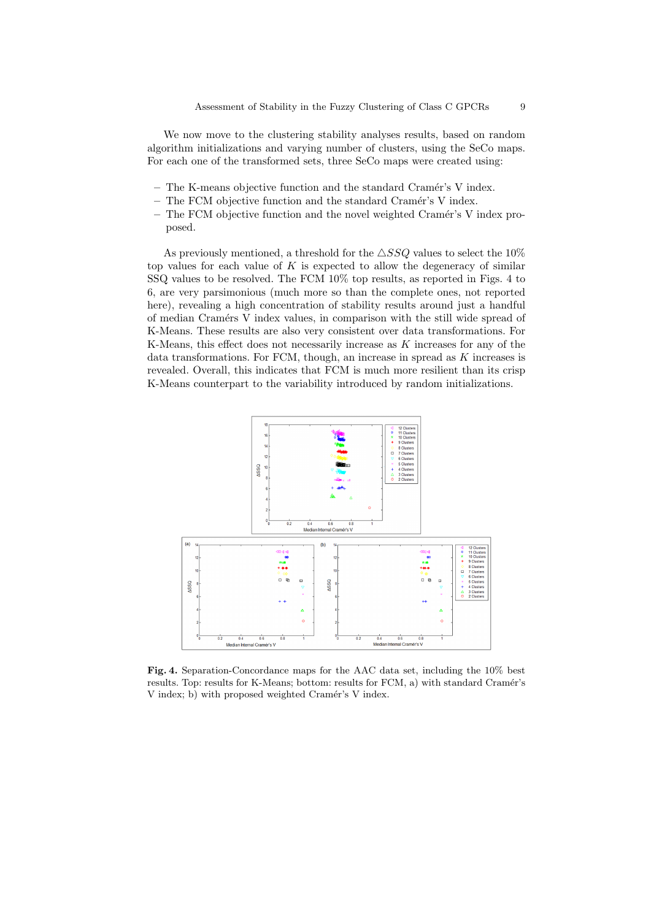We now move to the clustering stability analyses results, based on random algorithm initializations and varying number of clusters, using the SeCo maps. For each one of the transformed sets, three SeCo maps were created using:

- **–** The K-means objective function and the standard Cram´er's V index.
- **–** The FCM objective function and the standard Cram´er's V index.
- **–** The FCM objective function and the novel weighted Cram´er's V index proposed.

As previously mentioned, a threshold for the  $\triangle SSQ$  values to select the 10% top values for each value of *K* is expected to allow the degeneracy of similar SSQ values to be resolved. The FCM 10% top results, as reported in Figs. 4 to 6, are very parsimonious (much more so than the complete ones, not reported here), revealing a high concentration of stability results around just a handful of median Cram´ers V index values, in comparison with the still wide spread of K-Means. These results are also very consistent over data transformations. For K-Means, this effect does not necessarily increase as *K* increases for any of the data transformations. For FCM, though, an increase in spread as *K* increases is revealed. Overall, this indicates that FCM is much more resilient than its crisp K-Means counterpart to the variability introduced by random initializations.



**Fig. 4.** Separation-Concordance maps for the AAC data set, including the 10% best results. Top: results for K-Means; bottom: results for FCM, a) with standard Cramér's V index; b) with proposed weighted Cramér's V index.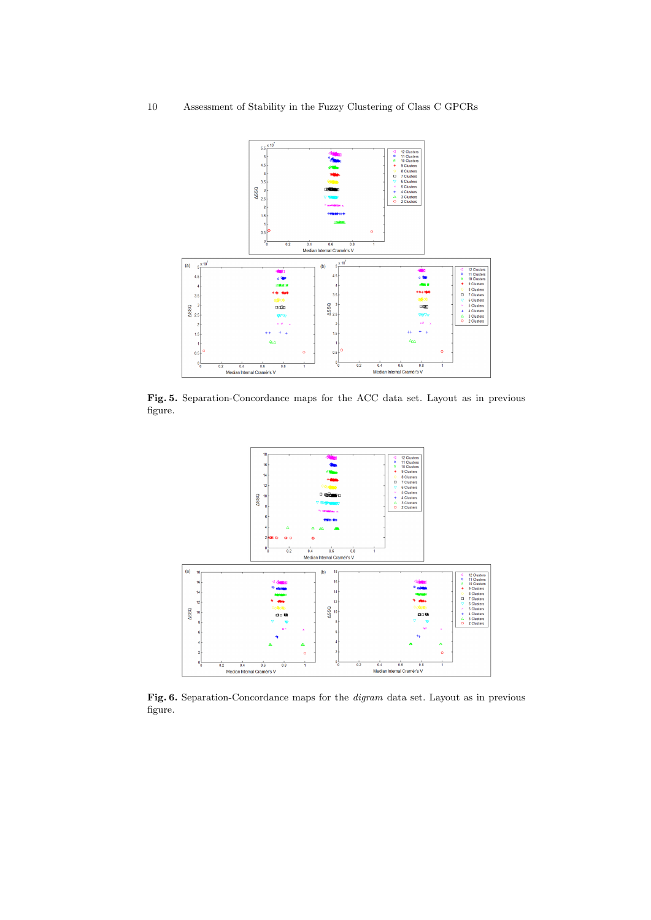

**Fig. 5.** Separation-Concordance maps for the ACC data set. Layout as in previous figure.



**Fig. 6.** Separation-Concordance maps for the *digram* data set. Layout as in previous figure.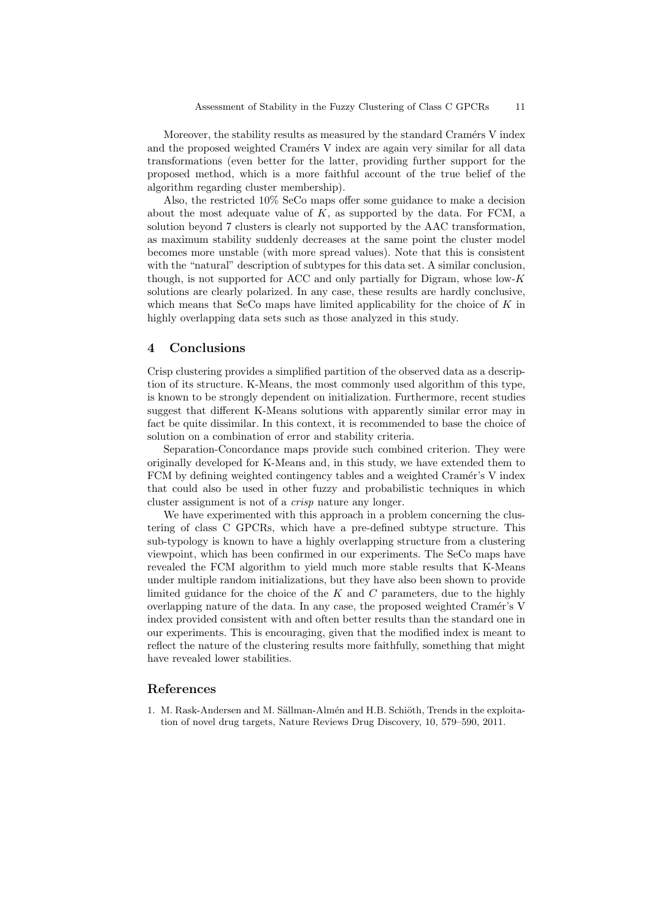Moreover, the stability results as measured by the standard Cramérs V index and the proposed weighted Cramérs V index are again very similar for all data transformations (even better for the latter, providing further support for the proposed method, which is a more faithful account of the true belief of the algorithm regarding cluster membership).

Also, the restricted 10% SeCo maps offer some guidance to make a decision about the most adequate value of  $K$ , as supported by the data. For FCM, a solution beyond 7 clusters is clearly not supported by the AAC transformation, as maximum stability suddenly decreases at the same point the cluster model becomes more unstable (with more spread values). Note that this is consistent with the "natural" description of subtypes for this data set. A similar conclusion, though, is not supported for ACC and only partially for Digram, whose low-*K* solutions are clearly polarized. In any case, these results are hardly conclusive, which means that SeCo maps have limited applicability for the choice of *K* in highly overlapping data sets such as those analyzed in this study.

## **4 Conclusions**

Crisp clustering provides a simplified partition of the observed data as a description of its structure. K-Means, the most commonly used algorithm of this type, is known to be strongly dependent on initialization. Furthermore, recent studies suggest that different K-Means solutions with apparently similar error may in fact be quite dissimilar. In this context, it is recommended to base the choice of solution on a combination of error and stability criteria.

Separation-Concordance maps provide such combined criterion. They were originally developed for K-Means and, in this study, we have extended them to FCM by defining weighted contingency tables and a weighted Cramér's V index that could also be used in other fuzzy and probabilistic techniques in which cluster assignment is not of a *crisp* nature any longer.

We have experimented with this approach in a problem concerning the clustering of class C GPCRs, which have a pre-defined subtype structure. This sub-typology is known to have a highly overlapping structure from a clustering viewpoint, which has been confirmed in our experiments. The SeCo maps have revealed the FCM algorithm to yield much more stable results that K-Means under multiple random initializations, but they have also been shown to provide limited guidance for the choice of the *K* and *C* parameters, due to the highly overlapping nature of the data. In any case, the proposed weighted Cram´er's V index provided consistent with and often better results than the standard one in our experiments. This is encouraging, given that the modified index is meant to reflect the nature of the clustering results more faithfully, something that might have revealed lower stabilities.

# **References**

1. M. Rask-Andersen and M. Sällman-Almén and H.B. Schiöth, Trends in the exploitation of novel drug targets, Nature Reviews Drug Discovery, 10, 579–590, 2011.